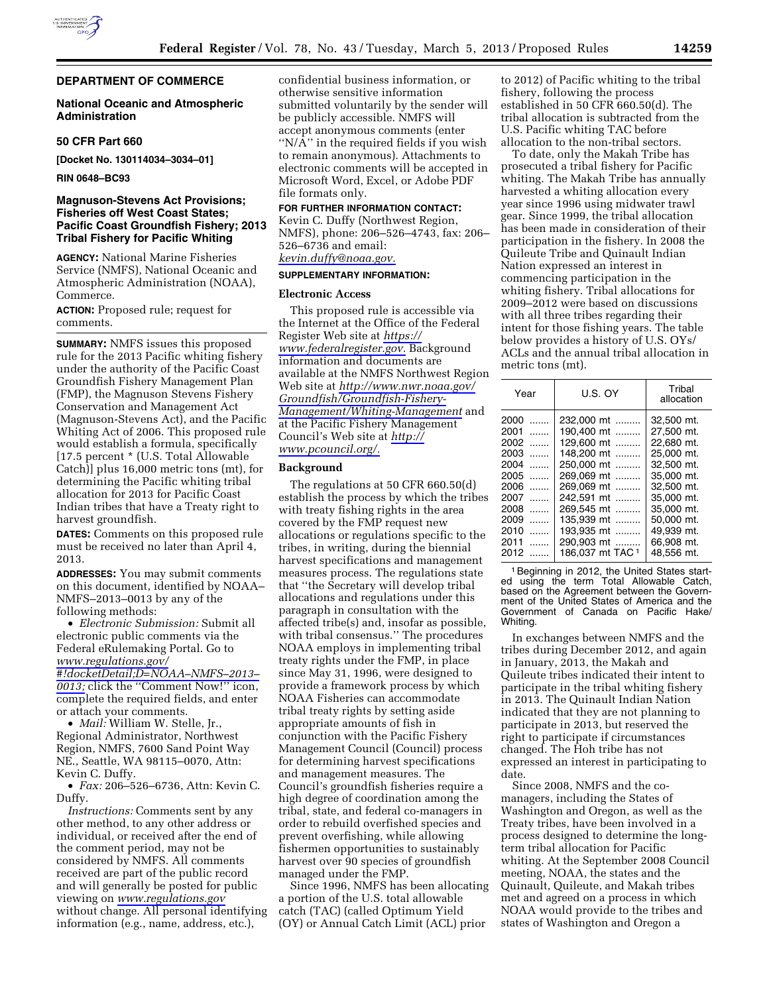## **DEPARTMENT OF COMMERCE**

## **National Oceanic and Atmospheric Administration**

## **50 CFR Part 660**

**[Docket No. 130114034–3034–01]** 

**RIN 0648–BC93** 

# **Magnuson-Stevens Act Provisions; Fisheries off West Coast States; Pacific Coast Groundfish Fishery; 2013 Tribal Fishery for Pacific Whiting**

**AGENCY:** National Marine Fisheries Service (NMFS), National Oceanic and Atmospheric Administration (NOAA), Commerce.

**ACTION:** Proposed rule; request for comments.

**SUMMARY:** NMFS issues this proposed rule for the 2013 Pacific whiting fishery under the authority of the Pacific Coast Groundfish Fishery Management Plan (FMP), the Magnuson Stevens Fishery Conservation and Management Act (Magnuson-Stevens Act), and the Pacific Whiting Act of 2006. This proposed rule would establish a formula, specifically [17.5 percent \* (U.S. Total Allowable Catch)] plus 16,000 metric tons (mt), for determining the Pacific whiting tribal allocation for 2013 for Pacific Coast Indian tribes that have a Treaty right to harvest groundfish.

**DATES:** Comments on this proposed rule must be received no later than April 4, 2013.

**ADDRESSES:** You may submit comments on this document, identified by NOAA– NMFS–2013–0013 by any of the following methods:

• *Electronic Submission:* Submit all electronic public comments via the Federal eRulemaking Portal. Go to *[www.regulations.gov/](http://www.regulations.gov/#!docketDetail;D=NOAA-NMFS-2013-0013) [#!docketDetail;D=NOAA–NMFS–2013–](http://www.regulations.gov/#!docketDetail;D=NOAA-NMFS-2013-0013)  [0013;](http://www.regulations.gov/#!docketDetail;D=NOAA-NMFS-2013-0013)* click the ''Comment Now!'' icon, complete the required fields, and enter or attach your comments.

• *Mail:* William W. Stelle, Jr., Regional Administrator, Northwest Region, NMFS, 7600 Sand Point Way NE., Seattle, WA 98115–0070, Attn: Kevin C. Duffy.

• *Fax:* 206–526–6736, Attn: Kevin C. Duffy.

*Instructions:* Comments sent by any other method, to any other address or individual, or received after the end of the comment period, may not be considered by NMFS. All comments received are part of the public record and will generally be posted for public viewing on *[www.regulations.gov](http://www.regulations.gov)*  without change. All personal identifying information (e.g., name, address, etc.),

confidential business information, or otherwise sensitive information submitted voluntarily by the sender will be publicly accessible. NMFS will accept anonymous comments (enter "N/A" in the required fields if you wish to remain anonymous). Attachments to electronic comments will be accepted in Microsoft Word, Excel, or Adobe PDF file formats only.

### **FOR FURTHER INFORMATION CONTACT:**

Kevin C. Duffy (Northwest Region, NMFS), phone: 206–526–4743, fax: 206– 526–6736 and email: *[kevin.duffy@noaa.gov.](mailto:kevin.duffy@noaa.gov)* 

### **SUPPLEMENTARY INFORMATION:**

#### **Electronic Access**

This proposed rule is accessible via the Internet at the Office of the Federal Register Web site at *[https://](https://www.federalregister.gov)  [www.federalregister.gov.](https://www.federalregister.gov)* Background information and documents are available at the NMFS Northwest Region Web site at *[http://www.nwr.noaa.gov/](http://www.nwr.noaa.gov/Groundfish/Groundfish-Fishery-Management/Whiting-Management) [Groundfish/Groundfish-Fishery-](http://www.nwr.noaa.gov/Groundfish/Groundfish-Fishery-Management/Whiting-Management)[Management/Whiting-Management](http://www.nwr.noaa.gov/Groundfish/Groundfish-Fishery-Management/Whiting-Management)* and at the Pacific Fishery Management Council's Web site at *[http://](http://www.pcouncil.org/)  [www.pcouncil.org/.](http://www.pcouncil.org/)* 

#### **Background**

The regulations at 50 CFR 660.50(d) establish the process by which the tribes with treaty fishing rights in the area covered by the FMP request new allocations or regulations specific to the tribes, in writing, during the biennial harvest specifications and management measures process. The regulations state that ''the Secretary will develop tribal allocations and regulations under this paragraph in consultation with the affected tribe(s) and, insofar as possible, with tribal consensus.'' The procedures NOAA employs in implementing tribal treaty rights under the FMP, in place since May 31, 1996, were designed to provide a framework process by which NOAA Fisheries can accommodate tribal treaty rights by setting aside appropriate amounts of fish in conjunction with the Pacific Fishery Management Council (Council) process for determining harvest specifications and management measures. The Council's groundfish fisheries require a high degree of coordination among the tribal, state, and federal co-managers in order to rebuild overfished species and prevent overfishing, while allowing fishermen opportunities to sustainably harvest over 90 species of groundfish managed under the FMP.

Since 1996, NMFS has been allocating a portion of the U.S. total allowable catch (TAC) (called Optimum Yield (OY) or Annual Catch Limit (ACL) prior

to 2012) of Pacific whiting to the tribal fishery, following the process established in 50 CFR 660.50(d). The tribal allocation is subtracted from the U.S. Pacific whiting TAC before allocation to the non-tribal sectors.

To date, only the Makah Tribe has prosecuted a tribal fishery for Pacific whiting. The Makah Tribe has annually harvested a whiting allocation every year since 1996 using midwater trawl gear. Since 1999, the tribal allocation has been made in consideration of their participation in the fishery. In 2008 the Quileute Tribe and Quinault Indian Nation expressed an interest in commencing participation in the whiting fishery. Tribal allocations for 2009–2012 were based on discussions with all three tribes regarding their intent for those fishing years. The table below provides a history of U.S. OYs/ ACLs and the annual tribal allocation in metric tons (mt).

| Year      | U.S. OY          | Tribal<br>allocation |
|-----------|------------------|----------------------|
| 2000<br>. | 232.000 mt       | 32.500 mt.           |
| 2001<br>. | 190,400 mt       | 27,500 mt.           |
| 2002<br>. | 129.600 mt       | 22.680 mt.           |
| 2003<br>. | 148,200 mt       | 25.000 mt.           |
| 2004<br>. | 250,000 mt       | 32.500 mt.           |
| 2005<br>. | 269.069 mt       | 35.000 mt.           |
| 2006<br>. | 269.069 mt       | 32.500 mt.           |
| 2007<br>. | 242.591 mt       | 35.000 mt.           |
| 2008<br>. | 269.545 mt       | 35.000 mt.           |
| 2009<br>. | 135.939 mt       | 50.000 mt.           |
| 2010<br>. | 193,935 mt       | 49.939 mt.           |
| 2011<br>. | 290.903 mt       | 66.908 mt.           |
| 2012<br>. | 186.037 mt TAC 1 | 48.556 mt.           |

1Beginning in 2012, the United States started using the term Total Allowable Catch, based on the Agreement between the Government of the United States of America and the Government of Canada on Pacific Hake/ Whiting.

In exchanges between NMFS and the tribes during December 2012, and again in January, 2013, the Makah and Quileute tribes indicated their intent to participate in the tribal whiting fishery in 2013. The Quinault Indian Nation indicated that they are not planning to participate in 2013, but reserved the right to participate if circumstances changed. The Hoh tribe has not expressed an interest in participating to date.

Since 2008, NMFS and the comanagers, including the States of Washington and Oregon, as well as the Treaty tribes, have been involved in a process designed to determine the longterm tribal allocation for Pacific whiting. At the September 2008 Council meeting, NOAA, the states and the Quinault, Quileute, and Makah tribes met and agreed on a process in which NOAA would provide to the tribes and states of Washington and Oregon a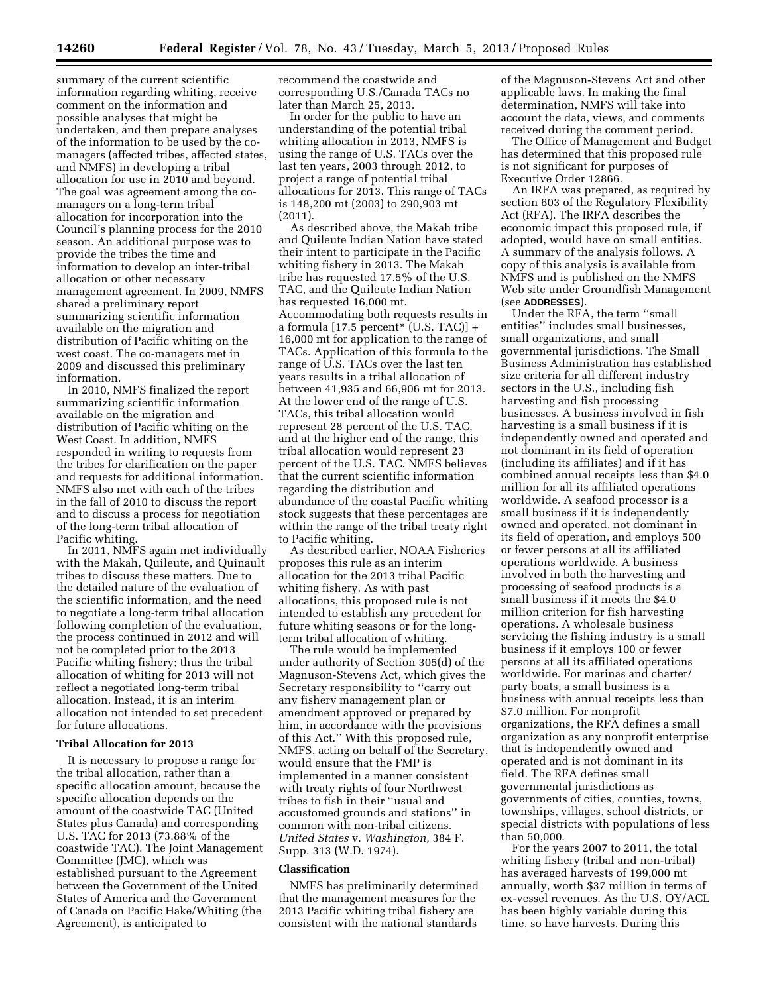information regarding whiting, receive comment on the information and possible analyses that might be undertaken, and then prepare analyses of the information to be used by the comanagers (affected tribes, affected states, and NMFS) in developing a tribal allocation for use in 2010 and beyond. The goal was agreement among the comanagers on a long-term tribal allocation for incorporation into the Council's planning process for the 2010 season. An additional purpose was to provide the tribes the time and information to develop an inter-tribal allocation or other necessary management agreement. In 2009, NMFS shared a preliminary report summarizing scientific information available on the migration and distribution of Pacific whiting on the west coast. The co-managers met in 2009 and discussed this preliminary information.

In 2010, NMFS finalized the report summarizing scientific information available on the migration and distribution of Pacific whiting on the West Coast. In addition, NMFS responded in writing to requests from the tribes for clarification on the paper and requests for additional information. NMFS also met with each of the tribes in the fall of 2010 to discuss the report and to discuss a process for negotiation of the long-term tribal allocation of Pacific whiting.

In 2011, NMFS again met individually with the Makah, Quileute, and Quinault tribes to discuss these matters. Due to the detailed nature of the evaluation of the scientific information, and the need to negotiate a long-term tribal allocation following completion of the evaluation, the process continued in 2012 and will not be completed prior to the 2013 Pacific whiting fishery; thus the tribal allocation of whiting for 2013 will not reflect a negotiated long-term tribal allocation. Instead, it is an interim allocation not intended to set precedent for future allocations.

#### **Tribal Allocation for 2013**

It is necessary to propose a range for the tribal allocation, rather than a specific allocation amount, because the specific allocation depends on the amount of the coastwide TAC (United States plus Canada) and corresponding U.S. TAC for 2013 (73.88% of the coastwide TAC). The Joint Management Committee (JMC), which was established pursuant to the Agreement between the Government of the United States of America and the Government of Canada on Pacific Hake/Whiting (the Agreement), is anticipated to

recommend the coastwide and corresponding U.S./Canada TACs no later than March 25, 2013.

In order for the public to have an understanding of the potential tribal whiting allocation in 2013, NMFS is using the range of U.S. TACs over the last ten years, 2003 through 2012, to project a range of potential tribal allocations for 2013. This range of TACs is 148,200 mt (2003) to 290,903 mt (2011).

As described above, the Makah tribe and Quileute Indian Nation have stated their intent to participate in the Pacific whiting fishery in 2013. The Makah tribe has requested 17.5% of the U.S. TAC, and the Quileute Indian Nation has requested 16,000 mt. Accommodating both requests results in a formula  $[17.5$  percent<sup>\*</sup> (U.S. TAC)] + 16,000 mt for application to the range of TACs. Application of this formula to the range of U.S. TACs over the last ten years results in a tribal allocation of between 41,935 and 66,906 mt for 2013. At the lower end of the range of U.S. TACs, this tribal allocation would represent 28 percent of the U.S. TAC, and at the higher end of the range, this tribal allocation would represent 23 percent of the U.S. TAC. NMFS believes that the current scientific information regarding the distribution and abundance of the coastal Pacific whiting stock suggests that these percentages are within the range of the tribal treaty right to Pacific whiting.

As described earlier, NOAA Fisheries proposes this rule as an interim allocation for the 2013 tribal Pacific whiting fishery. As with past allocations, this proposed rule is not intended to establish any precedent for future whiting seasons or for the longterm tribal allocation of whiting.

The rule would be implemented under authority of Section 305(d) of the Magnuson-Stevens Act, which gives the Secretary responsibility to ''carry out any fishery management plan or amendment approved or prepared by him, in accordance with the provisions of this Act.'' With this proposed rule, NMFS, acting on behalf of the Secretary, would ensure that the FMP is implemented in a manner consistent with treaty rights of four Northwest tribes to fish in their ''usual and accustomed grounds and stations'' in common with non-tribal citizens. *United States* v. *Washington,* 384 F. Supp. 313 (W.D. 1974).

#### **Classification**

NMFS has preliminarily determined that the management measures for the 2013 Pacific whiting tribal fishery are consistent with the national standards

of the Magnuson-Stevens Act and other applicable laws. In making the final determination, NMFS will take into account the data, views, and comments received during the comment period.

The Office of Management and Budget has determined that this proposed rule is not significant for purposes of Executive Order 12866.

An IRFA was prepared, as required by section 603 of the Regulatory Flexibility Act (RFA). The IRFA describes the economic impact this proposed rule, if adopted, would have on small entities. A summary of the analysis follows. A copy of this analysis is available from NMFS and is published on the NMFS Web site under Groundfish Management (see **ADDRESSES**).

Under the RFA, the term ''small entities'' includes small businesses, small organizations, and small governmental jurisdictions. The Small Business Administration has established size criteria for all different industry sectors in the U.S., including fish harvesting and fish processing businesses. A business involved in fish harvesting is a small business if it is independently owned and operated and not dominant in its field of operation (including its affiliates) and if it has combined annual receipts less than \$4.0 million for all its affiliated operations worldwide. A seafood processor is a small business if it is independently owned and operated, not dominant in its field of operation, and employs 500 or fewer persons at all its affiliated operations worldwide. A business involved in both the harvesting and processing of seafood products is a small business if it meets the \$4.0 million criterion for fish harvesting operations. A wholesale business servicing the fishing industry is a small business if it employs 100 or fewer persons at all its affiliated operations worldwide. For marinas and charter/ party boats, a small business is a business with annual receipts less than \$7.0 million. For nonprofit organizations, the RFA defines a small organization as any nonprofit enterprise that is independently owned and operated and is not dominant in its field. The RFA defines small governmental jurisdictions as governments of cities, counties, towns, townships, villages, school districts, or special districts with populations of less than 50,000.

For the years 2007 to 2011, the total whiting fishery (tribal and non-tribal) has averaged harvests of 199,000 mt annually, worth \$37 million in terms of ex-vessel revenues. As the U.S. OY/ACL has been highly variable during this time, so have harvests. During this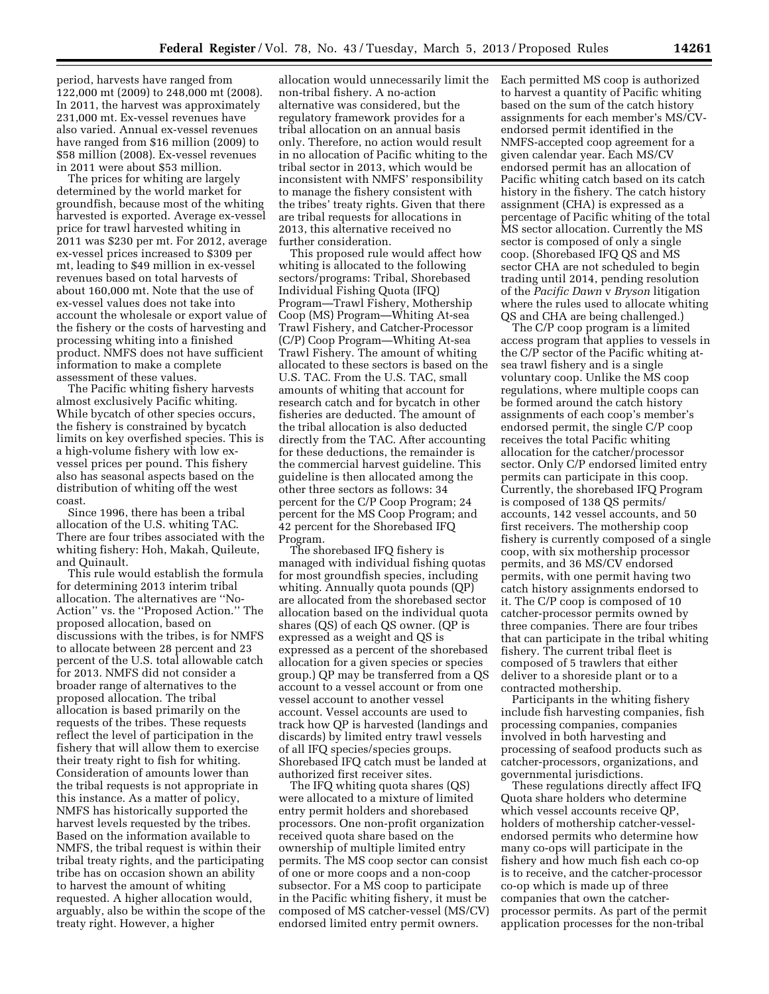period, harvests have ranged from 122,000 mt (2009) to 248,000 mt (2008). In 2011, the harvest was approximately 231,000 mt. Ex-vessel revenues have also varied. Annual ex-vessel revenues have ranged from \$16 million (2009) to \$58 million (2008). Ex-vessel revenues in 2011 were about \$53 million.

The prices for whiting are largely determined by the world market for groundfish, because most of the whiting harvested is exported. Average ex-vessel price for trawl harvested whiting in 2011 was \$230 per mt. For 2012, average ex-vessel prices increased to \$309 per mt, leading to \$49 million in ex-vessel revenues based on total harvests of about 160,000 mt. Note that the use of ex-vessel values does not take into account the wholesale or export value of the fishery or the costs of harvesting and processing whiting into a finished product. NMFS does not have sufficient information to make a complete assessment of these values.

The Pacific whiting fishery harvests almost exclusively Pacific whiting. While bycatch of other species occurs, the fishery is constrained by bycatch limits on key overfished species. This is a high-volume fishery with low exvessel prices per pound. This fishery also has seasonal aspects based on the distribution of whiting off the west coast.

Since 1996, there has been a tribal allocation of the U.S. whiting TAC. There are four tribes associated with the whiting fishery: Hoh, Makah, Quileute, and Quinault.

This rule would establish the formula for determining 2013 interim tribal allocation. The alternatives are ''No-Action'' vs. the ''Proposed Action.'' The proposed allocation, based on discussions with the tribes, is for NMFS to allocate between 28 percent and 23 percent of the U.S. total allowable catch for 2013. NMFS did not consider a broader range of alternatives to the proposed allocation. The tribal allocation is based primarily on the requests of the tribes. These requests reflect the level of participation in the fishery that will allow them to exercise their treaty right to fish for whiting. Consideration of amounts lower than the tribal requests is not appropriate in this instance. As a matter of policy, NMFS has historically supported the harvest levels requested by the tribes. Based on the information available to NMFS, the tribal request is within their tribal treaty rights, and the participating tribe has on occasion shown an ability to harvest the amount of whiting requested. A higher allocation would, arguably, also be within the scope of the treaty right. However, a higher

allocation would unnecessarily limit the non-tribal fishery. A no-action alternative was considered, but the regulatory framework provides for a tribal allocation on an annual basis only. Therefore, no action would result in no allocation of Pacific whiting to the tribal sector in 2013, which would be inconsistent with NMFS' responsibility to manage the fishery consistent with the tribes' treaty rights. Given that there are tribal requests for allocations in 2013, this alternative received no further consideration.

This proposed rule would affect how whiting is allocated to the following sectors/programs: Tribal, Shorebased Individual Fishing Quota (IFQ) Program—Trawl Fishery, Mothership Coop (MS) Program—Whiting At-sea Trawl Fishery, and Catcher-Processor (C/P) Coop Program—Whiting At-sea Trawl Fishery. The amount of whiting allocated to these sectors is based on the U.S. TAC. From the U.S. TAC, small amounts of whiting that account for research catch and for bycatch in other fisheries are deducted. The amount of the tribal allocation is also deducted directly from the TAC. After accounting for these deductions, the remainder is the commercial harvest guideline. This guideline is then allocated among the other three sectors as follows: 34 percent for the C/P Coop Program; 24 percent for the MS Coop Program; and 42 percent for the Shorebased IFQ Program.

The shorebased IFQ fishery is managed with individual fishing quotas for most groundfish species, including whiting. Annually quota pounds (QP) are allocated from the shorebased sector allocation based on the individual quota shares (QS) of each QS owner. (QP is expressed as a weight and QS is expressed as a percent of the shorebased allocation for a given species or species group.) QP may be transferred from a QS account to a vessel account or from one vessel account to another vessel account. Vessel accounts are used to track how QP is harvested (landings and discards) by limited entry trawl vessels of all IFQ species/species groups. Shorebased IFQ catch must be landed at authorized first receiver sites.

The IFQ whiting quota shares (QS) were allocated to a mixture of limited entry permit holders and shorebased processors. One non-profit organization received quota share based on the ownership of multiple limited entry permits. The MS coop sector can consist of one or more coops and a non-coop subsector. For a MS coop to participate in the Pacific whiting fishery, it must be composed of MS catcher-vessel (MS/CV) endorsed limited entry permit owners.

Each permitted MS coop is authorized to harvest a quantity of Pacific whiting based on the sum of the catch history assignments for each member's MS/CVendorsed permit identified in the NMFS-accepted coop agreement for a given calendar year. Each MS/CV endorsed permit has an allocation of Pacific whiting catch based on its catch history in the fishery. The catch history assignment (CHA) is expressed as a percentage of Pacific whiting of the total MS sector allocation. Currently the MS sector is composed of only a single coop. (Shorebased IFQ QS and MS sector CHA are not scheduled to begin trading until 2014, pending resolution of the *Pacific Dawn* v *Bryson* litigation where the rules used to allocate whiting QS and CHA are being challenged.)

The C/P coop program is a limited access program that applies to vessels in the C/P sector of the Pacific whiting atsea trawl fishery and is a single voluntary coop. Unlike the MS coop regulations, where multiple coops can be formed around the catch history assignments of each coop's member's endorsed permit, the single C/P coop receives the total Pacific whiting allocation for the catcher/processor sector. Only C/P endorsed limited entry permits can participate in this coop. Currently, the shorebased IFQ Program is composed of 138 QS permits/ accounts, 142 vessel accounts, and 50 first receivers. The mothership coop fishery is currently composed of a single coop, with six mothership processor permits, and 36 MS/CV endorsed permits, with one permit having two catch history assignments endorsed to it. The C/P coop is composed of 10 catcher-processor permits owned by three companies. There are four tribes that can participate in the tribal whiting fishery. The current tribal fleet is composed of 5 trawlers that either deliver to a shoreside plant or to a contracted mothership.

Participants in the whiting fishery include fish harvesting companies, fish processing companies, companies involved in both harvesting and processing of seafood products such as catcher-processors, organizations, and governmental jurisdictions.

These regulations directly affect IFQ Quota share holders who determine which vessel accounts receive QP, holders of mothership catcher-vesselendorsed permits who determine how many co-ops will participate in the fishery and how much fish each co-op is to receive, and the catcher-processor co-op which is made up of three companies that own the catcherprocessor permits. As part of the permit application processes for the non-tribal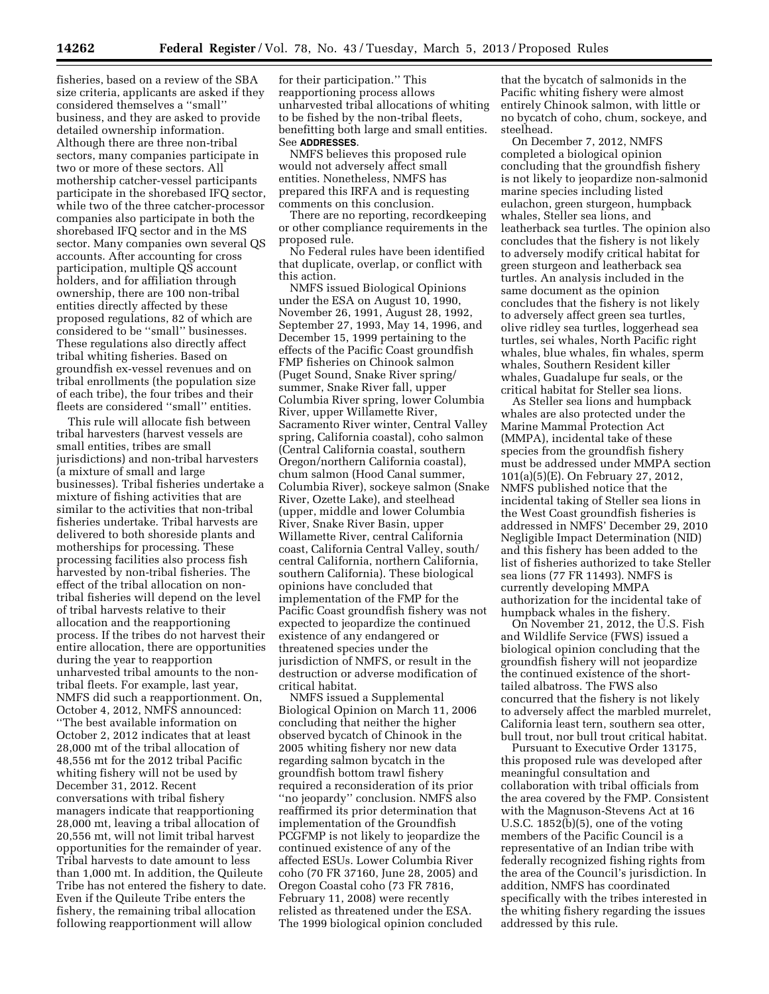fisheries, based on a review of the SBA size criteria, applicants are asked if they considered themselves a ''small'' business, and they are asked to provide detailed ownership information. Although there are three non-tribal sectors, many companies participate in two or more of these sectors. All mothership catcher-vessel participants participate in the shorebased IFQ sector, while two of the three catcher-processor companies also participate in both the shorebased IFQ sector and in the MS sector. Many companies own several QS accounts. After accounting for cross participation, multiple QS account holders, and for affiliation through ownership, there are 100 non-tribal entities directly affected by these proposed regulations, 82 of which are considered to be ''small'' businesses. These regulations also directly affect tribal whiting fisheries. Based on groundfish ex-vessel revenues and on tribal enrollments (the population size of each tribe), the four tribes and their fleets are considered ''small'' entities.

This rule will allocate fish between tribal harvesters (harvest vessels are small entities, tribes are small jurisdictions) and non-tribal harvesters (a mixture of small and large businesses). Tribal fisheries undertake a mixture of fishing activities that are similar to the activities that non-tribal fisheries undertake. Tribal harvests are delivered to both shoreside plants and motherships for processing. These processing facilities also process fish harvested by non-tribal fisheries. The effect of the tribal allocation on nontribal fisheries will depend on the level of tribal harvests relative to their allocation and the reapportioning process. If the tribes do not harvest their entire allocation, there are opportunities during the year to reapportion unharvested tribal amounts to the nontribal fleets. For example, last year, NMFS did such a reapportionment. On, October 4, 2012, NMFS announced: ''The best available information on October 2, 2012 indicates that at least 28,000 mt of the tribal allocation of 48,556 mt for the 2012 tribal Pacific whiting fishery will not be used by December 31, 2012. Recent conversations with tribal fishery managers indicate that reapportioning 28,000 mt, leaving a tribal allocation of 20,556 mt, will not limit tribal harvest opportunities for the remainder of year. Tribal harvests to date amount to less than 1,000 mt. In addition, the Quileute Tribe has not entered the fishery to date. Even if the Quileute Tribe enters the fishery, the remaining tribal allocation following reapportionment will allow

for their participation.'' This reapportioning process allows unharvested tribal allocations of whiting to be fished by the non-tribal fleets, benefitting both large and small entities. See **ADDRESSES**.

NMFS believes this proposed rule would not adversely affect small entities. Nonetheless, NMFS has prepared this IRFA and is requesting comments on this conclusion.

There are no reporting, recordkeeping or other compliance requirements in the proposed rule.

No Federal rules have been identified that duplicate, overlap, or conflict with this action.

NMFS issued Biological Opinions under the ESA on August 10, 1990, November 26, 1991, August 28, 1992, September 27, 1993, May 14, 1996, and December 15, 1999 pertaining to the effects of the Pacific Coast groundfish FMP fisheries on Chinook salmon (Puget Sound, Snake River spring/ summer, Snake River fall, upper Columbia River spring, lower Columbia River, upper Willamette River, Sacramento River winter, Central Valley spring, California coastal), coho salmon (Central California coastal, southern Oregon/northern California coastal), chum salmon (Hood Canal summer, Columbia River), sockeye salmon (Snake River, Ozette Lake), and steelhead (upper, middle and lower Columbia River, Snake River Basin, upper Willamette River, central California coast, California Central Valley, south/ central California, northern California, southern California). These biological opinions have concluded that implementation of the FMP for the Pacific Coast groundfish fishery was not expected to jeopardize the continued existence of any endangered or threatened species under the jurisdiction of NMFS, or result in the destruction or adverse modification of critical habitat.

NMFS issued a Supplemental Biological Opinion on March 11, 2006 concluding that neither the higher observed bycatch of Chinook in the 2005 whiting fishery nor new data regarding salmon bycatch in the groundfish bottom trawl fishery required a reconsideration of its prior ''no jeopardy'' conclusion. NMFS also reaffirmed its prior determination that implementation of the Groundfish PCGFMP is not likely to jeopardize the continued existence of any of the affected ESUs. Lower Columbia River coho (70 FR 37160, June 28, 2005) and Oregon Coastal coho (73 FR 7816, February 11, 2008) were recently relisted as threatened under the ESA. The 1999 biological opinion concluded

that the bycatch of salmonids in the Pacific whiting fishery were almost entirely Chinook salmon, with little or no bycatch of coho, chum, sockeye, and steelhead.

On December 7, 2012, NMFS completed a biological opinion concluding that the groundfish fishery is not likely to jeopardize non-salmonid marine species including listed eulachon, green sturgeon, humpback whales, Steller sea lions, and leatherback sea turtles. The opinion also concludes that the fishery is not likely to adversely modify critical habitat for green sturgeon and leatherback sea turtles. An analysis included in the same document as the opinion concludes that the fishery is not likely to adversely affect green sea turtles, olive ridley sea turtles, loggerhead sea turtles, sei whales, North Pacific right whales, blue whales, fin whales, sperm whales, Southern Resident killer whales, Guadalupe fur seals, or the critical habitat for Steller sea lions.

As Steller sea lions and humpback whales are also protected under the Marine Mammal Protection Act (MMPA), incidental take of these species from the groundfish fishery must be addressed under MMPA section 101(a)(5)(E). On February 27, 2012, NMFS published notice that the incidental taking of Steller sea lions in the West Coast groundfish fisheries is addressed in NMFS' December 29, 2010 Negligible Impact Determination (NID) and this fishery has been added to the list of fisheries authorized to take Steller sea lions (77 FR 11493). NMFS is currently developing MMPA authorization for the incidental take of humpback whales in the fishery.

On November 21, 2012, the U.S. Fish and Wildlife Service (FWS) issued a biological opinion concluding that the groundfish fishery will not jeopardize the continued existence of the shorttailed albatross. The FWS also concurred that the fishery is not likely to adversely affect the marbled murrelet, California least tern, southern sea otter, bull trout, nor bull trout critical habitat.

Pursuant to Executive Order 13175, this proposed rule was developed after meaningful consultation and collaboration with tribal officials from the area covered by the FMP. Consistent with the Magnuson-Stevens Act at 16 U.S.C. 1852(b)(5), one of the voting members of the Pacific Council is a representative of an Indian tribe with federally recognized fishing rights from the area of the Council's jurisdiction. In addition, NMFS has coordinated specifically with the tribes interested in the whiting fishery regarding the issues addressed by this rule.